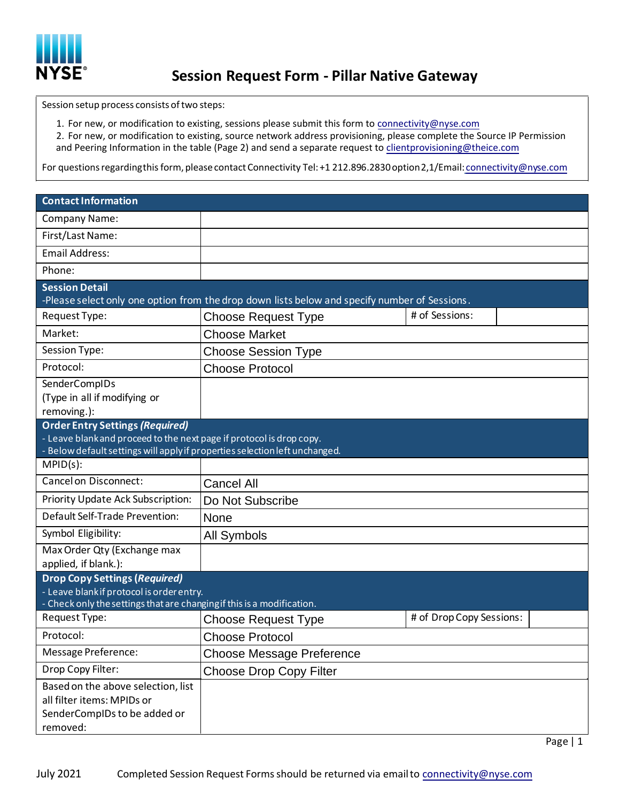

Session setup process consists of two steps:

1. For new, or modification to existing, sessions please submit this form to connectivity@nyse.com

2. For new, or modification to existing, source network address provisioning, please complete the Source IP Permission and Peering Information in the table (Page 2) and send a separate request to clientprovisioning@theice.com

For questions regarding this form, please contact Connectivity Tel: +1 212.896.2830 option 2,1/Email: connectivity@nyse.com

| <b>Contact Information</b>                                                                                                                                                                    |                                  |                          |  |
|-----------------------------------------------------------------------------------------------------------------------------------------------------------------------------------------------|----------------------------------|--------------------------|--|
| <b>Company Name:</b>                                                                                                                                                                          |                                  |                          |  |
| First/Last Name:                                                                                                                                                                              |                                  |                          |  |
| <b>Email Address:</b>                                                                                                                                                                         |                                  |                          |  |
| Phone:                                                                                                                                                                                        |                                  |                          |  |
| <b>Session Detail</b><br>-Please select only one option from the drop down lists below and specify number of Sessions.                                                                        |                                  |                          |  |
| Request Type:                                                                                                                                                                                 | <b>Choose Request Type</b>       | # of Sessions:           |  |
| Market:                                                                                                                                                                                       | <b>Choose Market</b>             |                          |  |
| Session Type:                                                                                                                                                                                 | <b>Choose Session Type</b>       |                          |  |
| Protocol:                                                                                                                                                                                     | <b>Choose Protocol</b>           |                          |  |
| SenderCompIDs<br>(Type in all if modifying or<br>removing.):                                                                                                                                  |                                  |                          |  |
| <b>Order Entry Settings (Required)</b><br>- Leave blank and proceed to the next page if protocol is drop copy.<br>- Below default settings will apply if properties selection left unchanged. |                                  |                          |  |
| $MPID(s)$ :                                                                                                                                                                                   |                                  |                          |  |
| Cancel on Disconnect:                                                                                                                                                                         | <b>Cancel All</b>                |                          |  |
| Priority Update Ack Subscription:                                                                                                                                                             | Do Not Subscribe                 |                          |  |
| Default Self-Trade Prevention:                                                                                                                                                                | None                             |                          |  |
| Symbol Eligibility:                                                                                                                                                                           | All Symbols                      |                          |  |
| Max Order Qty (Exchange max<br>applied, if blank.):                                                                                                                                           |                                  |                          |  |
| <b>Drop Copy Settings (Required)</b><br>- Leave blank if protocol is order entry.<br>- Check only the settings that are changing if this is a modification.                                   |                                  |                          |  |
| Request Type:                                                                                                                                                                                 | <b>Choose Request Type</b>       | # of Drop Copy Sessions: |  |
| Protocol:                                                                                                                                                                                     | <b>Choose Protocol</b>           |                          |  |
| Message Preference:                                                                                                                                                                           | <b>Choose Message Preference</b> |                          |  |
| Drop Copy Filter:                                                                                                                                                                             | <b>Choose Drop Copy Filter</b>   |                          |  |
| Based on the above selection, list<br>all filter items: MPIDs or<br>SenderCompIDs to be added or<br>removed:                                                                                  |                                  |                          |  |